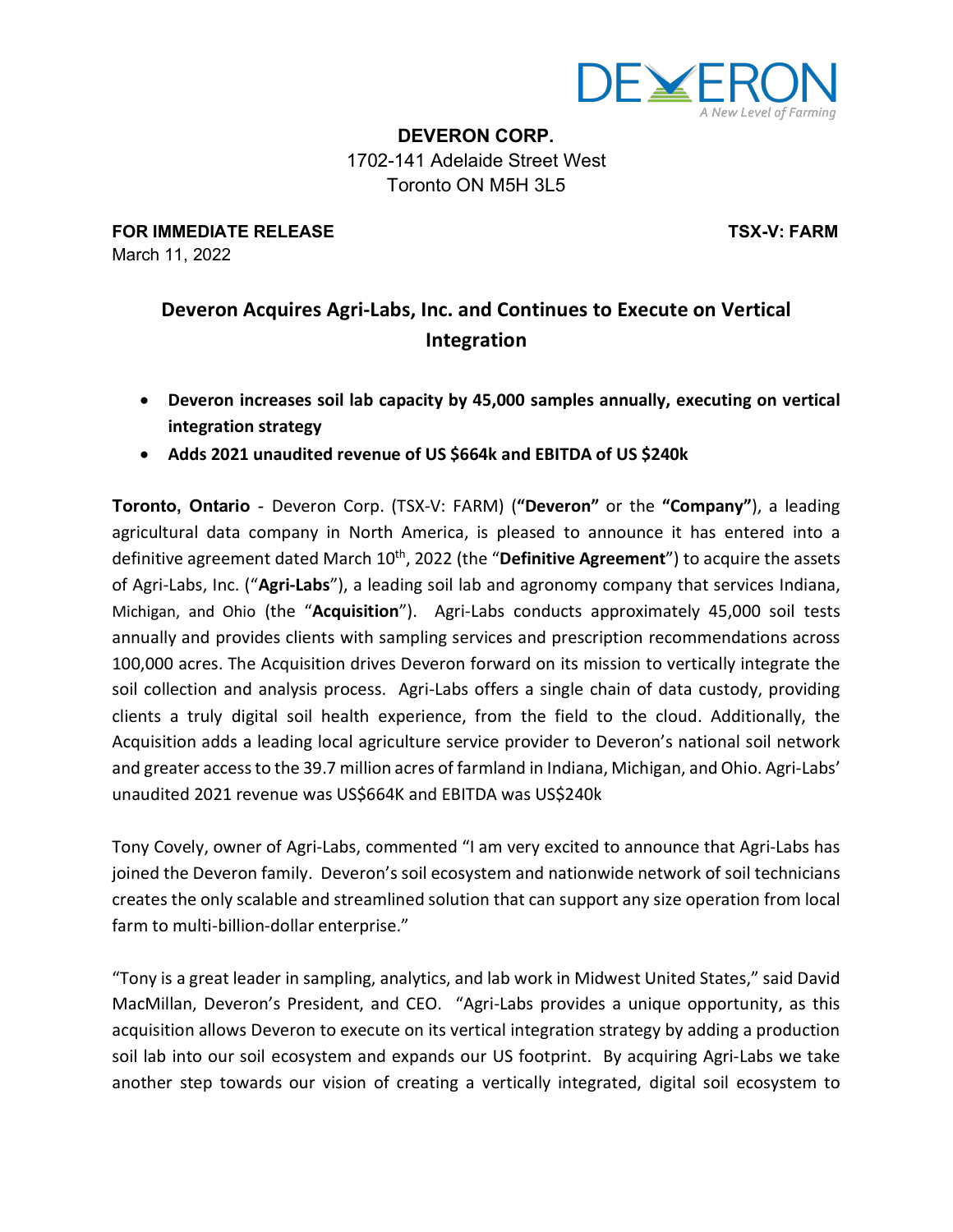

**DEVERON CORP.** 1702-141 Adelaide Street West Toronto ON M5H 3L5

**FOR IMMEDIATE RELEASE TSX-V: FARM** March 11, 2022

## **Deveron Acquires Agri-Labs, Inc. and Continues to Execute on Vertical Integration**

- **Deveron increases soil lab capacity by 45,000 samples annually, executing on vertical integration strategy**
- **Adds 2021 unaudited revenue of US \$664k and EBITDA of US \$240k**

**Toronto, Ontario** - Deveron Corp. (TSX-V: FARM) (**"Deveron"** or the **"Company"**), a leading agricultural data company in North America, is pleased to announce it has entered into a definitive agreement dated March 10th, 2022 (the "**Definitive Agreement**") to acquire the assets of Agri-Labs, Inc. ("**Agri-Labs**"), a leading soil lab and agronomy company that services Indiana, Michigan, and Ohio (the "**Acquisition**"). Agri-Labs conducts approximately 45,000 soil tests annually and provides clients with sampling services and prescription recommendations across 100,000 acres. The Acquisition drives Deveron forward on its mission to vertically integrate the soil collection and analysis process. Agri-Labs offers a single chain of data custody, providing clients a truly digital soil health experience, from the field to the cloud. Additionally, the Acquisition adds a leading local agriculture service provider to Deveron's national soil network and greater accessto the 39.7 million acres of farmland in Indiana, Michigan, and Ohio. Agri-Labs' unaudited 2021 revenue was US\$664K and EBITDA was US\$240k

Tony Covely, owner of Agri-Labs, commented "I am very excited to announce that Agri-Labs has joined the Deveron family. Deveron's soil ecosystem and nationwide network of soil technicians creates the only scalable and streamlined solution that can support any size operation from local farm to multi-billion-dollar enterprise."

"Tony is a great leader in sampling, analytics, and lab work in Midwest United States," said David MacMillan, Deveron's President, and CEO. "Agri-Labs provides a unique opportunity, as this acquisition allows Deveron to execute on its vertical integration strategy by adding a production soil lab into our soil ecosystem and expands our US footprint. By acquiring Agri-Labs we take another step towards our vision of creating a vertically integrated, digital soil ecosystem to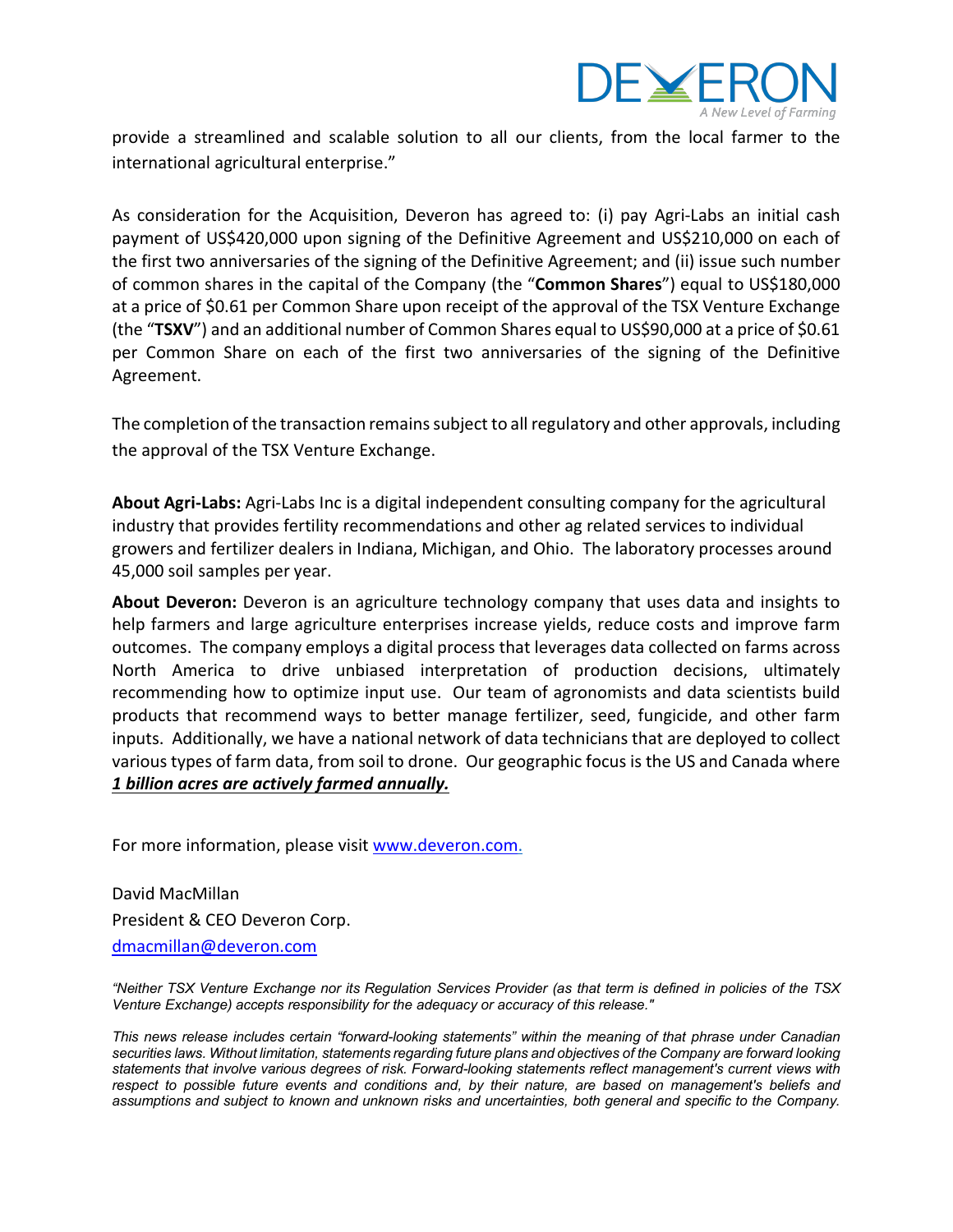

provide a streamlined and scalable solution to all our clients, from the local farmer to the international agricultural enterprise."

As consideration for the Acquisition, Deveron has agreed to: (i) pay Agri-Labs an initial cash payment of US\$420,000 upon signing of the Definitive Agreement and US\$210,000 on each of the first two anniversaries of the signing of the Definitive Agreement; and (ii) issue such number of common shares in the capital of the Company (the "**Common Shares**") equal to US\$180,000 at a price of \$0.61 per Common Share upon receipt of the approval of the TSX Venture Exchange (the "**TSXV**") and an additional number of Common Shares equal to US\$90,000 at a price of \$0.61 per Common Share on each of the first two anniversaries of the signing of the Definitive Agreement.

The completion of the transaction remains subject to all regulatory and other approvals, including the approval of the TSX Venture Exchange.

**About Agri-Labs:** Agri-Labs Inc is a digital independent consulting company for the agricultural industry that provides fertility recommendations and other ag related services to individual growers and fertilizer dealers in Indiana, Michigan, and Ohio. The laboratory processes around 45,000 soil samples per year.

**About Deveron:** Deveron is an agriculture technology company that uses data and insights to help farmers and large agriculture enterprises increase yields, reduce costs and improve farm outcomes. The company employs a digital process that leverages data collected on farms across North America to drive unbiased interpretation of production decisions, ultimately recommending how to optimize input use. Our team of agronomists and data scientists build products that recommend ways to better manage fertilizer, seed, fungicide, and other farm inputs. Additionally, we have a national network of data technicians that are deployed to collect various types of farm data, from soil to drone. Our geographic focus is the US and Canada where *1 billion acres are actively farmed annually.*

For more information, please visit www.deveron.com.

David MacMillan President & CEO Deveron Corp. dmacmillan@deveron.com

"Neither TSX Venture Exchange nor its Regulation Services Provider (as that term is defined in policies of the TSX *Venture Exchange) accepts responsibility for the adequacy or accuracy of this release."*

*This news release includes certain "forward-looking statements" within the meaning of that phrase under Canadian* securities laws. Without limitation, statements regarding future plans and objectives of the Company are forward looking *statements that involve various degrees of risk. Forward-looking statements reflect management's current views with* respect to possible future events and conditions and, by their nature, are based on management's beliefs and assumptions and subject to known and unknown risks and uncertainties, both general and specific to the Company.